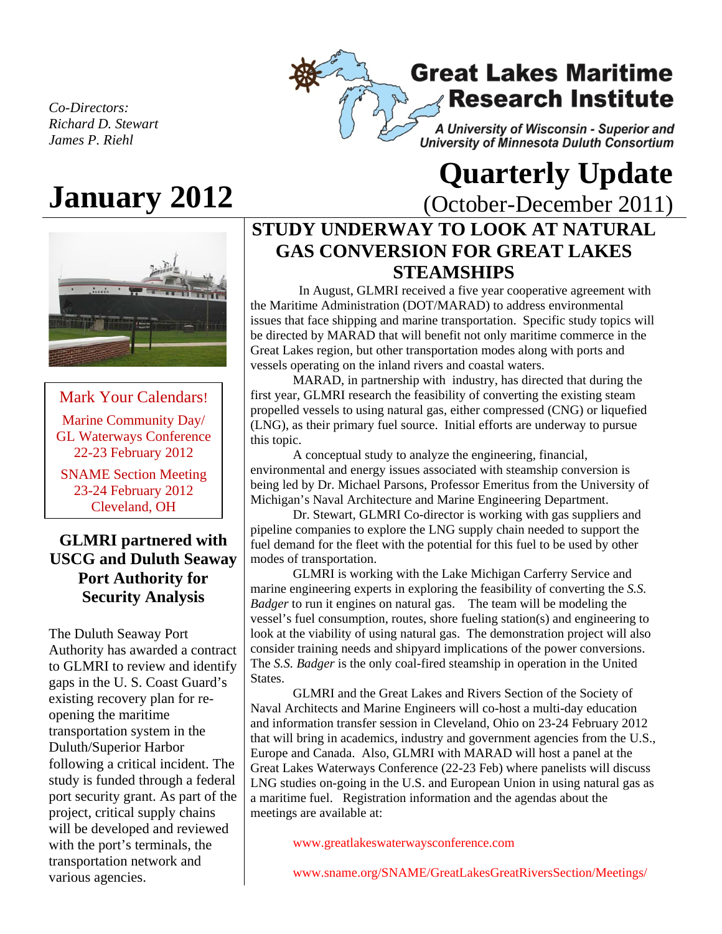*Co-Directors: Richard D. Stewart James P. Riehl* 

# A University of Wisconsin - Superior and University of Minnesota Duluth Consortium



Mark Your Calendars! Marine Community Day/ GL Waterways Conference 22-23 February 2012

SNAME Section Meeting 23-24 February 2012 Cleveland, OH

### **GLMRI partnered with USCG and Duluth Seaway Port Authority for Security Analysis**

The Duluth Seaway Port Authority has awarded a contract to GLMRI to review and identify gaps in the U. S. Coast Guard's existing recovery plan for reopening the maritime transportation system in the Duluth/Superior Harbor following a critical incident. The study is funded through a federal port security grant. As part of the project, critical supply chains will be developed and reviewed with the port's terminals, the transportation network and various agencies.

# **January 2012 Quarterly Update January 2012 Consumer CONS**

**Great Lakes Maritime** 

**Research Institute** 

(October-December 2011)

# **STUDY UNDERWAY TO LOOK AT NATURAL GAS CONVERSION FOR GREAT LAKES STEAMSHIPS**

In August, GLMRI received a five year cooperative agreement with the Maritime Administration (DOT/MARAD) to address environmental issues that face shipping and marine transportation. Specific study topics will be directed by MARAD that will benefit not only maritime commerce in the Great Lakes region, but other transportation modes along with ports and vessels operating on the inland rivers and coastal waters.

MARAD, in partnership with industry, has directed that during the first year, GLMRI research the feasibility of converting the existing steam propelled vessels to using natural gas, either compressed (CNG) or liquefied (LNG), as their primary fuel source. Initial efforts are underway to pursue this topic.

A conceptual study to analyze the engineering, financial, environmental and energy issues associated with steamship conversion is being led by Dr. Michael Parsons, Professor Emeritus from the University of Michigan's Naval Architecture and Marine Engineering Department.

Dr. Stewart, GLMRI Co-director is working with gas suppliers and pipeline companies to explore the LNG supply chain needed to support the fuel demand for the fleet with the potential for this fuel to be used by other modes of transportation.

GLMRI is working with the Lake Michigan Carferry Service and marine engineering experts in exploring the feasibility of converting the *S.S. Badger* to run it engines on natural gas. The team will be modeling the vessel's fuel consumption, routes, shore fueling station(s) and engineering to look at the viability of using natural gas. The demonstration project will also consider training needs and shipyard implications of the power conversions. The *S.S. Badger* is the only coal-fired steamship in operation in the United States.

GLMRI and the Great Lakes and Rivers Section of the Society of Naval Architects and Marine Engineers will co-host a multi-day education and information transfer session in Cleveland, Ohio on 23-24 February 2012 that will bring in academics, industry and government agencies from the U.S., Europe and Canada. Also, GLMRI with MARAD will host a panel at the Great Lakes Waterways Conference (22-23 Feb) where panelists will discuss LNG studies on-going in the U.S. and European Union in using natural gas as a maritime fuel. Registration information and the agendas about the meetings are available at:

www.greatlakeswaterwaysconference.com

www.sname.org/SNAME/GreatLakesGreatRiversSection/Meetings/